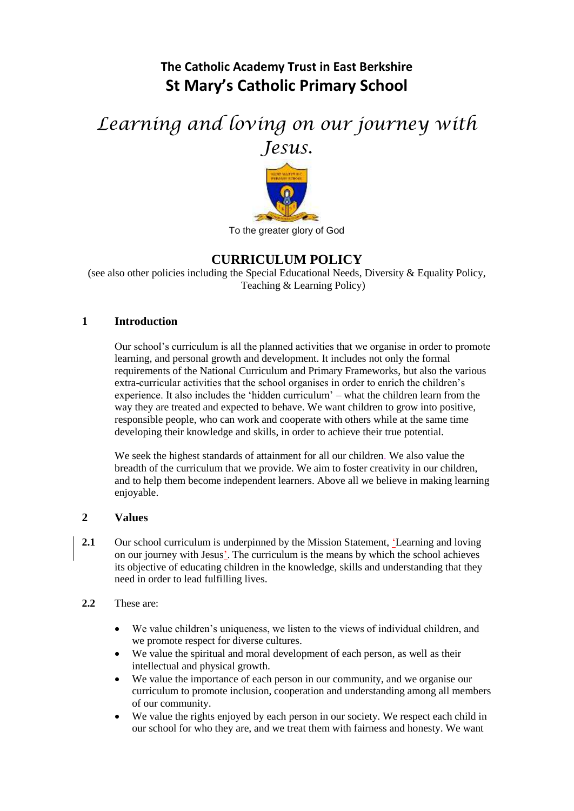# **The Catholic Academy Trust in East Berkshire St Mary's Catholic Primary School**

# *Learning and loving on our journey with Jesus.*



#### To the greater glory of God

# **CURRICULUM POLICY**

(see also other policies including the Special Educational Needs, Diversity & Equality Policy, Teaching & Learning Policy)

#### **1 Introduction**

Our school's curriculum is all the planned activities that we organise in order to promote learning, and personal growth and development. It includes not only the formal requirements of the National Curriculum and Primary Frameworks, but also the various extra-curricular activities that the school organises in order to enrich the children's experience. It also includes the 'hidden curriculum' – what the children learn from the way they are treated and expected to behave. We want children to grow into positive, responsible people, who can work and cooperate with others while at the same time developing their knowledge and skills, in order to achieve their true potential.

We seek the highest standards of attainment for all our children. We also value the breadth of the curriculum that we provide. We aim to foster creativity in our children, and to help them become independent learners. Above all we believe in making learning enjoyable.

#### **2 Values**

- **2.1** Our school curriculum is underpinned by the Mission Statement, *Learning and loving* on our journey with Jesus'. The curriculum is the means by which the school achieves its objective of educating children in the knowledge, skills and understanding that they need in order to lead fulfilling lives.
- **2.2** These are:
	- We value children's uniqueness, we listen to the views of individual children, and we promote respect for diverse cultures.
	- We value the spiritual and moral development of each person, as well as their intellectual and physical growth.
	- We value the importance of each person in our community, and we organise our curriculum to promote inclusion, cooperation and understanding among all members of our community.
	- We value the rights enjoyed by each person in our society. We respect each child in our school for who they are, and we treat them with fairness and honesty. We want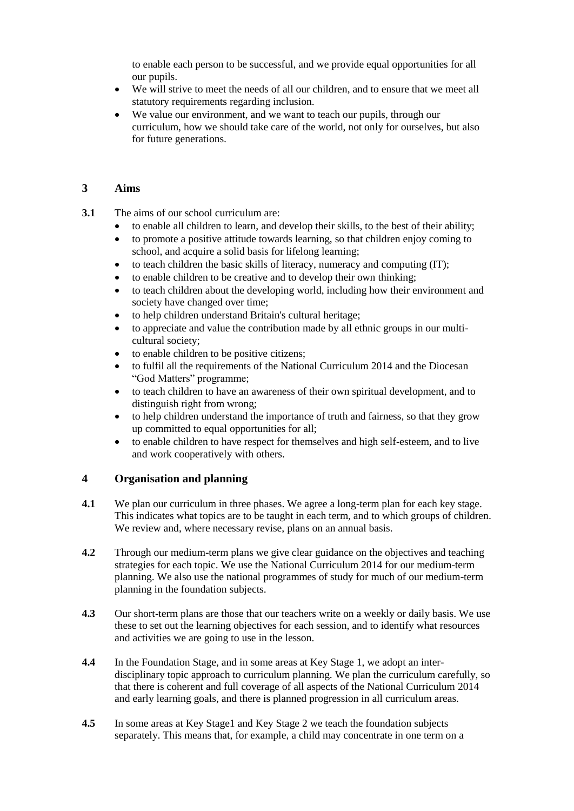to enable each person to be successful, and we provide equal opportunities for all our pupils.

- We will strive to meet the needs of all our children, and to ensure that we meet all statutory requirements regarding inclusion.
- We value our environment, and we want to teach our pupils, through our curriculum, how we should take care of the world, not only for ourselves, but also for future generations.

#### **3 Aims**

- **3.1** The aims of our school curriculum are:
	- to enable all children to learn, and develop their skills, to the best of their ability;
	- to promote a positive attitude towards learning, so that children enjoy coming to school, and acquire a solid basis for lifelong learning;
	- $\bullet$  to teach children the basic skills of literacy, numeracy and computing (IT);
	- to enable children to be creative and to develop their own thinking;
	- to teach children about the developing world, including how their environment and society have changed over time;
	- to help children understand Britain's cultural heritage;
	- to appreciate and value the contribution made by all ethnic groups in our multicultural society;
	- to enable children to be positive citizens;
	- to fulfil all the requirements of the National Curriculum 2014 and the Diocesan "God Matters" programme;
	- to teach children to have an awareness of their own spiritual development, and to distinguish right from wrong;
	- to help children understand the importance of truth and fairness, so that they grow up committed to equal opportunities for all;
	- to enable children to have respect for themselves and high self-esteem, and to live and work cooperatively with others.

#### **4 Organisation and planning**

- **4.1** We plan our curriculum in three phases. We agree a long-term plan for each key stage. This indicates what topics are to be taught in each term, and to which groups of children. We review and, where necessary revise, plans on an annual basis.
- **4.2** Through our medium-term plans we give clear guidance on the objectives and teaching strategies for each topic. We use the National Curriculum 2014 for our medium-term planning. We also use the national programmes of study for much of our medium-term planning in the foundation subjects.
- **4.3** Our short-term plans are those that our teachers write on a weekly or daily basis. We use these to set out the learning objectives for each session, and to identify what resources and activities we are going to use in the lesson.
- **4.4** In the Foundation Stage, and in some areas at Key Stage 1, we adopt an interdisciplinary topic approach to curriculum planning. We plan the curriculum carefully, so that there is coherent and full coverage of all aspects of the National Curriculum 2014 and early learning goals, and there is planned progression in all curriculum areas.
- **4.5** In some areas at Key Stage1 and Key Stage 2 we teach the foundation subjects separately. This means that, for example, a child may concentrate in one term on a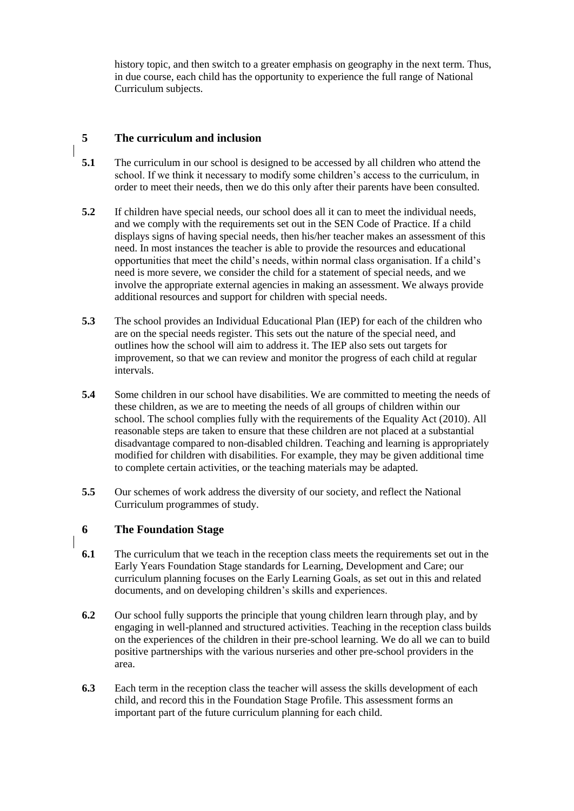history topic, and then switch to a greater emphasis on geography in the next term. Thus, in due course, each child has the opportunity to experience the full range of National Curriculum subjects.

# **5 The curriculum and inclusion**

- **5.1** The curriculum in our school is designed to be accessed by all children who attend the school. If we think it necessary to modify some children's access to the curriculum, in order to meet their needs, then we do this only after their parents have been consulted.
- **5.2** If children have special needs, our school does all it can to meet the individual needs, and we comply with the requirements set out in the SEN Code of Practice. If a child displays signs of having special needs, then his/her teacher makes an assessment of this need. In most instances the teacher is able to provide the resources and educational opportunities that meet the child's needs, within normal class organisation. If a child's need is more severe, we consider the child for a statement of special needs, and we involve the appropriate external agencies in making an assessment. We always provide additional resources and support for children with special needs.
- **5.3** The school provides an Individual Educational Plan (IEP) for each of the children who are on the special needs register. This sets out the nature of the special need, and outlines how the school will aim to address it. The IEP also sets out targets for improvement, so that we can review and monitor the progress of each child at regular intervals.
- **5.4** Some children in our school have disabilities. We are committed to meeting the needs of these children, as we are to meeting the needs of all groups of children within our school. The school complies fully with the requirements of the Equality Act (2010). All reasonable steps are taken to ensure that these children are not placed at a substantial disadvantage compared to non-disabled children. Teaching and learning is appropriately modified for children with disabilities. For example, they may be given additional time to complete certain activities, or the teaching materials may be adapted.
- **5.5** Our schemes of work address the diversity of our society, and reflect the National Curriculum programmes of study.

### **6 The Foundation Stage**

- **6.1** The curriculum that we teach in the reception class meets the requirements set out in the Early Years Foundation Stage standards for Learning, Development and Care; our curriculum planning focuses on the Early Learning Goals, as set out in this and related documents, and on developing children's skills and experiences.
- **6.2** Our school fully supports the principle that young children learn through play, and by engaging in well-planned and structured activities. Teaching in the reception class builds on the experiences of the children in their pre-school learning. We do all we can to build positive partnerships with the various nurseries and other pre-school providers in the area.
- **6.3** Each term in the reception class the teacher will assess the skills development of each child, and record this in the Foundation Stage Profile. This assessment forms an important part of the future curriculum planning for each child.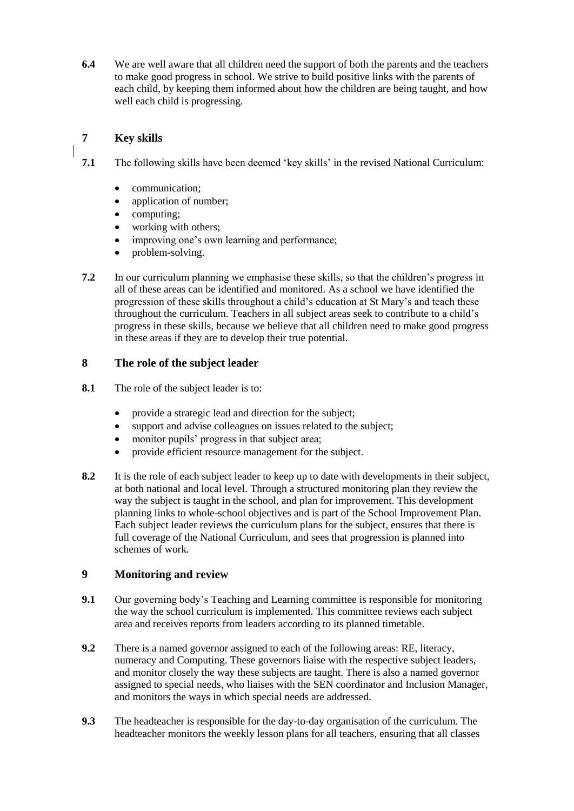**6.4** We are well aware that all children need the support of both the parents and the teachers to make good progress in school. We strive to build positive links with the parents of each child, by keeping them informed about how the children are being taught, and how well each child is progressing.

# **7 Key skills**

**7.1** The following skills have been deemed 'key skills' in the revised National Curriculum:

- communication;
- application of number;
- computing;
- working with others;
- improving one's own learning and performance;
- problem-solving.
- **7.2** In our curriculum planning we emphasise these skills, so that the children's progress in all of these areas can be identified and monitored. As a school we have identified the progression of these skills throughout a child's education at St Mary's and teach these throughout the curriculum. Teachers in all subject areas seek to contribute to a child's progress in these skills, because we believe that all children need to make good progress in these areas if they are to develop their true potential.

#### **8 The role of the subject leader**

- **8.1** The role of the subject leader is to:
	- provide a strategic lead and direction for the subject;
	- support and advise colleagues on issues related to the subject;
	- monitor pupils' progress in that subject area;
	- provide efficient resource management for the subject.
- **8.2** It is the role of each subject leader to keep up to date with developments in their subject, at both national and local level. Through a structured monitoring plan they review the way the subject is taught in the school, and plan for improvement. This development planning links to whole-school objectives and is part of the School Improvement Plan. Each subject leader reviews the curriculum plans for the subject, ensures that there is full coverage of the National Curriculum, and sees that progression is planned into schemes of work.

#### **9 Monitoring and review**

- **9.1** Our governing body's Teaching and Learning committee is responsible for monitoring the way the school curriculum is implemented. This committee reviews each subject area and receives reports from leaders according to its planned timetable.
- **9.2** There is a named governor assigned to each of the following areas: RE, literacy, numeracy and Computing. These governors liaise with the respective subject leaders, and monitor closely the way these subjects are taught. There is also a named governor assigned to special needs, who liaises with the SEN coordinator and Inclusion Manager, and monitors the ways in which special needs are addressed.
- **9.3** The headteacher is responsible for the day-to-day organisation of the curriculum. The headteacher monitors the weekly lesson plans for all teachers, ensuring that all classes